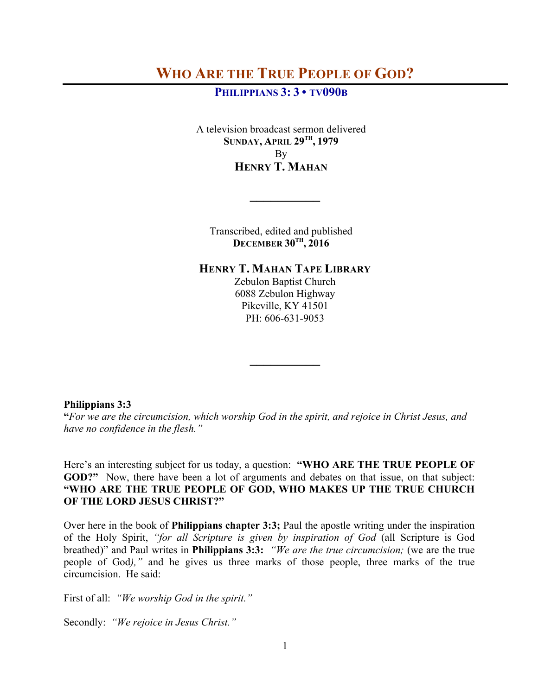# **WHO ARE THE TRUE PEOPLE OF GOD?**

# **PHILIPPIANS 3: 3 • TV090B**

A television broadcast sermon delivered **SUNDAY, APRIL 29TH, 1979** By **HENRY T. MAHAN**

Transcribed, edited and published **DECEMBER 30TH, 2016**

**\_\_\_\_\_\_\_\_\_\_**

## **HENRY T. MAHAN TAPE LIBRARY**

Zebulon Baptist Church 6088 Zebulon Highway Pikeville, KY 41501 PH: 606-631-9053

**\_\_\_\_\_\_\_\_\_\_**

#### **Philippians 3:3**

**"***For we are the circumcision, which worship God in the spirit, and rejoice in Christ Jesus, and have no confidence in the flesh."*

Here's an interesting subject for us today, a question: **"WHO ARE THE TRUE PEOPLE OF GOD?"** Now, there have been a lot of arguments and debates on that issue, on that subject: **"WHO ARE THE TRUE PEOPLE OF GOD, WHO MAKES UP THE TRUE CHURCH OF THE LORD JESUS CHRIST?"**

Over here in the book of **Philippians chapter 3:3;** Paul the apostle writing under the inspiration of the Holy Spirit, *"for all Scripture is given by inspiration of God* (all Scripture is God breathed)" and Paul writes in **Philippians 3:3:** *"We are the true circumcision;* (we are the true people of God*),"* and he gives us three marks of those people, three marks of the true circumcision. He said:

First of all: *"We worship God in the spirit."*

Secondly: *"We rejoice in Jesus Christ."*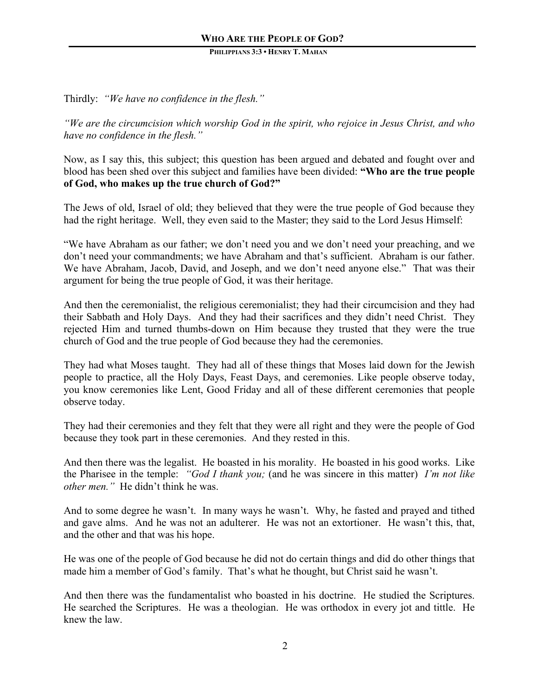Thirdly: *"We have no confidence in the flesh."*

*"We are the circumcision which worship God in the spirit, who rejoice in Jesus Christ, and who have no confidence in the flesh."*

Now, as I say this, this subject; this question has been argued and debated and fought over and blood has been shed over this subject and families have been divided: **"Who are the true people of God, who makes up the true church of God?"**

The Jews of old, Israel of old; they believed that they were the true people of God because they had the right heritage. Well, they even said to the Master; they said to the Lord Jesus Himself:

"We have Abraham as our father; we don't need you and we don't need your preaching, and we don't need your commandments; we have Abraham and that's sufficient. Abraham is our father. We have Abraham, Jacob, David, and Joseph, and we don't need anyone else." That was their argument for being the true people of God, it was their heritage.

And then the ceremonialist, the religious ceremonialist; they had their circumcision and they had their Sabbath and Holy Days. And they had their sacrifices and they didn't need Christ. They rejected Him and turned thumbs-down on Him because they trusted that they were the true church of God and the true people of God because they had the ceremonies.

They had what Moses taught. They had all of these things that Moses laid down for the Jewish people to practice, all the Holy Days, Feast Days, and ceremonies. Like people observe today, you know ceremonies like Lent, Good Friday and all of these different ceremonies that people observe today.

They had their ceremonies and they felt that they were all right and they were the people of God because they took part in these ceremonies. And they rested in this.

And then there was the legalist. He boasted in his morality. He boasted in his good works. Like the Pharisee in the temple: *"God I thank you;* (and he was sincere in this matter) *I'm not like other men."* He didn't think he was.

And to some degree he wasn't. In many ways he wasn't. Why, he fasted and prayed and tithed and gave alms. And he was not an adulterer. He was not an extortioner. He wasn't this, that, and the other and that was his hope.

He was one of the people of God because he did not do certain things and did do other things that made him a member of God's family. That's what he thought, but Christ said he wasn't.

And then there was the fundamentalist who boasted in his doctrine. He studied the Scriptures. He searched the Scriptures. He was a theologian. He was orthodox in every jot and tittle. He knew the law.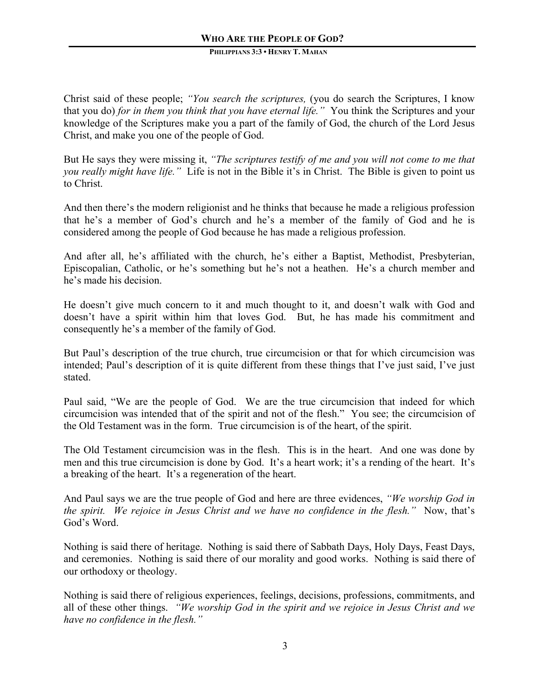Christ said of these people; *"You search the scriptures,* (you do search the Scriptures, I know that you do) *for in them you think that you have eternal life."* You think the Scriptures and your knowledge of the Scriptures make you a part of the family of God, the church of the Lord Jesus Christ, and make you one of the people of God.

But He says they were missing it, *"The scriptures testify of me and you will not come to me that you really might have life."* Life is not in the Bible it's in Christ. The Bible is given to point us to Christ.

And then there's the modern religionist and he thinks that because he made a religious profession that he's a member of God's church and he's a member of the family of God and he is considered among the people of God because he has made a religious profession.

And after all, he's affiliated with the church, he's either a Baptist, Methodist, Presbyterian, Episcopalian, Catholic, or he's something but he's not a heathen. He's a church member and he's made his decision.

He doesn't give much concern to it and much thought to it, and doesn't walk with God and doesn't have a spirit within him that loves God. But, he has made his commitment and consequently he's a member of the family of God.

But Paul's description of the true church, true circumcision or that for which circumcision was intended; Paul's description of it is quite different from these things that I've just said, I've just stated.

Paul said, "We are the people of God. We are the true circumcision that indeed for which circumcision was intended that of the spirit and not of the flesh."You see; the circumcision of the Old Testament was in the form. True circumcision is of the heart, of the spirit.

The Old Testament circumcision was in the flesh. This is in the heart. And one was done by men and this true circumcision is done by God. It's a heart work; it's a rending of the heart. It's a breaking of the heart. It's a regeneration of the heart.

And Paul says we are the true people of God and here are three evidences, *"We worship God in the spirit. We rejoice in Jesus Christ and we have no confidence in the flesh."* Now, that's God's Word.

Nothing is said there of heritage. Nothing is said there of Sabbath Days, Holy Days, Feast Days, and ceremonies. Nothing is said there of our morality and good works. Nothing is said there of our orthodoxy or theology.

Nothing is said there of religious experiences, feelings, decisions, professions, commitments, and all of these other things. *"We worship God in the spirit and we rejoice in Jesus Christ and we have no confidence in the flesh."*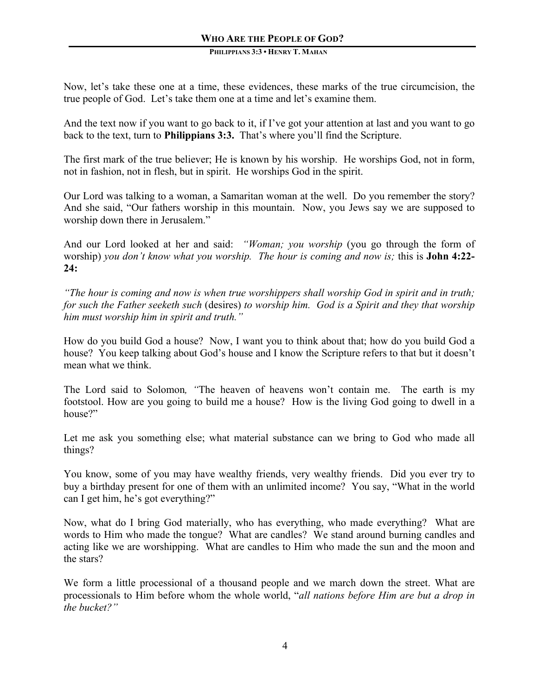Now, let's take these one at a time, these evidences, these marks of the true circumcision, the true people of God. Let's take them one at a time and let's examine them.

And the text now if you want to go back to it, if I've got your attention at last and you want to go back to the text, turn to **Philippians 3:3.** That's where you'll find the Scripture.

The first mark of the true believer; He is known by his worship. He worships God, not in form, not in fashion, not in flesh, but in spirit. He worships God in the spirit.

Our Lord was talking to a woman, a Samaritan woman at the well. Do you remember the story? And she said, "Our fathers worship in this mountain. Now, you Jews say we are supposed to worship down there in Jerusalem."

And our Lord looked at her and said: *"Woman; you worship* (you go through the form of worship) *you don't know what you worship. The hour is coming and now is;* this is **John 4:22- 24:**

*"The hour is coming and now is when true worshippers shall worship God in spirit and in truth; for such the Father seeketh such* (desires) *to worship him. God is a Spirit and they that worship him must worship him in spirit and truth."*

How do you build God a house? Now, I want you to think about that; how do you build God a house? You keep talking about God's house and I know the Scripture refers to that but it doesn't mean what we think.

The Lord said to Solomon*, "*The heaven of heavens won't contain me. The earth is my footstool. How are you going to build me a house? How is the living God going to dwell in a house?"

Let me ask you something else; what material substance can we bring to God who made all things?

You know, some of you may have wealthy friends, very wealthy friends. Did you ever try to buy a birthday present for one of them with an unlimited income? You say, "What in the world can I get him, he's got everything?"

Now, what do I bring God materially, who has everything, who made everything? What are words to Him who made the tongue? What are candles? We stand around burning candles and acting like we are worshipping. What are candles to Him who made the sun and the moon and the stars?

We form a little processional of a thousand people and we march down the street. What are processionals to Him before whom the whole world, "*all nations before Him are but a drop in the bucket?"*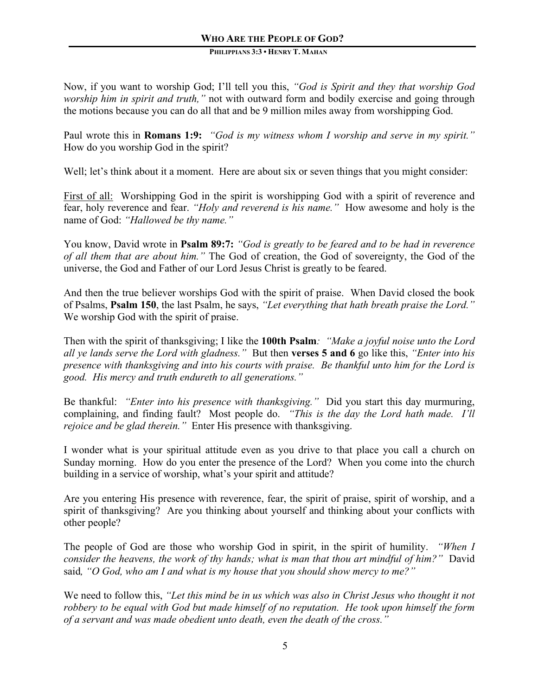Now, if you want to worship God; I'll tell you this, *"God is Spirit and they that worship God worship him in spirit and truth,"* not with outward form and bodily exercise and going through the motions because you can do all that and be 9 million miles away from worshipping God.

Paul wrote this in **Romans 1:9:** *"God is my witness whom I worship and serve in my spirit."* How do you worship God in the spirit?

Well; let's think about it a moment. Here are about six or seven things that you might consider:

First of all: Worshipping God in the spirit is worshipping God with a spirit of reverence and fear, holy reverence and fear. *"Holy and reverend is his name."* How awesome and holy is the name of God: *"Hallowed be thy name."* 

You know, David wrote in **Psalm 89:7:** *"God is greatly to be feared and to be had in reverence of all them that are about him."* The God of creation, the God of sovereignty, the God of the universe, the God and Father of our Lord Jesus Christ is greatly to be feared.

And then the true believer worships God with the spirit of praise. When David closed the book of Psalms, **Psalm 150**, the last Psalm, he says, *"Let everything that hath breath praise the Lord."* We worship God with the spirit of praise.

Then with the spirit of thanksgiving; I like the **100th Psalm***: "Make a joyful noise unto the Lord all ye lands serve the Lord with gladness."* But then **verses 5 and 6** go like this, *"Enter into his presence with thanksgiving and into his courts with praise. Be thankful unto him for the Lord is good. His mercy and truth endureth to all generations."* 

Be thankful: *"Enter into his presence with thanksgiving."* Did you start this day murmuring, complaining, and finding fault? Most people do. *"This is the day the Lord hath made. I'll rejoice and be glad therein."* Enter His presence with thanksgiving.

I wonder what is your spiritual attitude even as you drive to that place you call a church on Sunday morning. How do you enter the presence of the Lord? When you come into the church building in a service of worship, what's your spirit and attitude?

Are you entering His presence with reverence, fear, the spirit of praise, spirit of worship, and a spirit of thanksgiving? Are you thinking about yourself and thinking about your conflicts with other people?

The people of God are those who worship God in spirit, in the spirit of humility. *"When I consider the heavens, the work of thy hands; what is man that thou art mindful of him?"* David said*, "O God, who am I and what is my house that you should show mercy to me?"*

We need to follow this, *"Let this mind be in us which was also in Christ Jesus who thought it not robbery to be equal with God but made himself of no reputation. He took upon himself the form of a servant and was made obedient unto death, even the death of the cross."*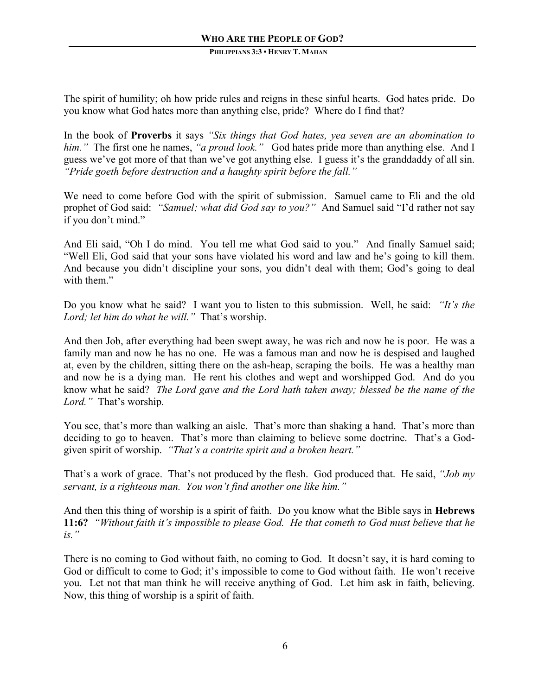The spirit of humility; oh how pride rules and reigns in these sinful hearts. God hates pride. Do you know what God hates more than anything else, pride? Where do I find that?

In the book of **Proverbs** it says *"Six things that God hates, yea seven are an abomination to him."* The first one he names, *"a proud look."* God hates pride more than anything else. And I guess we've got more of that than we've got anything else. I guess it's the granddaddy of all sin. *"Pride goeth before destruction and a haughty spirit before the fall."*

We need to come before God with the spirit of submission. Samuel came to Eli and the old prophet of God said: *"Samuel; what did God say to you?"* And Samuel said "I'd rather not say if you don't mind."

And Eli said, "Oh I do mind. You tell me what God said to you." And finally Samuel said; "Well Eli, God said that your sons have violated his word and law and he's going to kill them. And because you didn't discipline your sons, you didn't deal with them; God's going to deal with them."

Do you know what he said? I want you to listen to this submission. Well, he said: *"It's the Lord; let him do what he will."* That's worship.

And then Job, after everything had been swept away, he was rich and now he is poor. He was a family man and now he has no one. He was a famous man and now he is despised and laughed at, even by the children, sitting there on the ash-heap, scraping the boils. He was a healthy man and now he is a dying man. He rent his clothes and wept and worshipped God.And do you know what he said? *The Lord gave and the Lord hath taken away; blessed be the name of the Lord."* That's worship.

You see, that's more than walking an aisle. That's more than shaking a hand. That's more than deciding to go to heaven. That's more than claiming to believe some doctrine. That's a Godgiven spirit of worship. *"That's a contrite spirit and a broken heart."*

That's a work of grace. That's not produced by the flesh. God produced that. He said, *"Job my servant, is a righteous man. You won't find another one like him."*

And then this thing of worship is a spirit of faith. Do you know what the Bible says in **Hebrews 11:6?** *"Without faith it's impossible to please God. He that cometh to God must believe that he is."* 

There is no coming to God without faith, no coming to God. It doesn't say, it is hard coming to God or difficult to come to God; it's impossible to come to God without faith. He won't receive you. Let not that man think he will receive anything of God. Let him ask in faith, believing. Now, this thing of worship is a spirit of faith.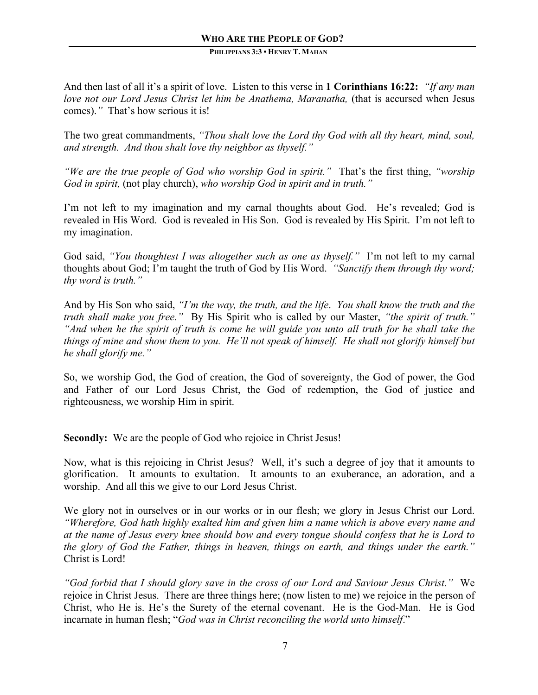And then last of all it's a spirit of love. Listen to this verse in **1 Corinthians 16:22:** *"If any man love not our Lord Jesus Christ let him be Anathema, Maranatha, (that is accursed when Jesus* comes).*"* That's how serious it is!

The two great commandments, *"Thou shalt love the Lord thy God with all thy heart, mind, soul, and strength. And thou shalt love thy neighbor as thyself."*

*"We are the true people of God who worship God in spirit."* That's the first thing, *"worship God in spirit,* (not play church), *who worship God in spirit and in truth."* 

I'm not left to my imagination and my carnal thoughts about God. He's revealed; God is revealed in His Word. God is revealed in His Son. God is revealed by His Spirit. I'm not left to my imagination.

God said, *"You thoughtest I was altogether such as one as thyself."* I'm not left to my carnal thoughts about God; I'm taught the truth of God by His Word. *"Sanctify them through thy word; thy word is truth."* 

And by His Son who said, *"I'm the way, the truth, and the life*. *You shall know the truth and the truth shall make you free."* By His Spirit who is called by our Master, *"the spirit of truth." "And when he the spirit of truth is come he will guide you unto all truth for he shall take the things of mine and show them to you. He'll not speak of himself. He shall not glorify himself but he shall glorify me."*

So, we worship God, the God of creation, the God of sovereignty, the God of power, the God and Father of our Lord Jesus Christ, the God of redemption, the God of justice and righteousness, we worship Him in spirit.

**Secondly:** We are the people of God who rejoice in Christ Jesus!

Now, what is this rejoicing in Christ Jesus? Well, it's such a degree of joy that it amounts to glorification. It amounts to exultation. It amounts to an exuberance, an adoration, and a worship. And all this we give to our Lord Jesus Christ.

We glory not in ourselves or in our works or in our flesh; we glory in Jesus Christ our Lord. *"Wherefore, God hath highly exalted him and given him a name which is above every name and at the name of Jesus every knee should bow and every tongue should confess that he is Lord to the glory of God the Father, things in heaven, things on earth, and things under the earth."* Christ is Lord!

*"God forbid that I should glory save in the cross of our Lord and Saviour Jesus Christ."* We rejoice in Christ Jesus. There are three things here; (now listen to me) we rejoice in the person of Christ, who He is. He's the Surety of the eternal covenant. He is the God-Man. He is God incarnate in human flesh; "*God was in Christ reconciling the world unto himself*."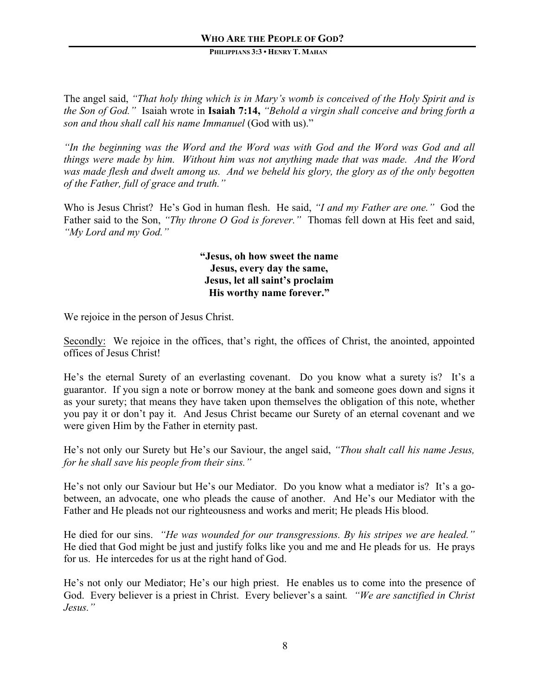The angel said, *"That holy thing which is in Mary's womb is conceived of the Holy Spirit and is the Son of God."* Isaiah wrote in **Isaiah 7:14,** *"Behold a virgin shall conceive and bring forth a son and thou shall call his name Immanuel* (God with us)."

*"In the beginning was the Word and the Word was with God and the Word was God and all things were made by him. Without him was not anything made that was made. And the Word was made flesh and dwelt among us. And we beheld his glory, the glory as of the only begotten of the Father, full of grace and truth."*

Who is Jesus Christ? He's God in human flesh. He said, *"I and my Father are one."* God the Father said to the Son, *"Thy throne O God is forever."* Thomas fell down at His feet and said, *"My Lord and my God."*

> **"Jesus, oh how sweet the name Jesus, every day the same, Jesus, let all saint's proclaim His worthy name forever."**

We rejoice in the person of Jesus Christ.

Secondly: We rejoice in the offices, that's right, the offices of Christ, the anointed, appointed offices of Jesus Christ!

He's the eternal Surety of an everlasting covenant. Do you know what a surety is? It's a guarantor. If you sign a note or borrow money at the bank and someone goes down and signs it as your surety; that means they have taken upon themselves the obligation of this note, whether you pay it or don't pay it. And Jesus Christ became our Surety of an eternal covenant and we were given Him by the Father in eternity past.

He's not only our Surety but He's our Saviour, the angel said, *"Thou shalt call his name Jesus, for he shall save his people from their sins."* 

He's not only our Saviour but He's our Mediator. Do you know what a mediator is? It's a gobetween, an advocate, one who pleads the cause of another. And He's our Mediator with the Father and He pleads not our righteousness and works and merit; He pleads His blood.

He died for our sins. *"He was wounded for our transgressions. By his stripes we are healed."*  He died that God might be just and justify folks like you and me and He pleads for us. He prays for us. He intercedes for us at the right hand of God.

He's not only our Mediator; He's our high priest. He enables us to come into the presence of God. Every believer is a priest in Christ. Every believer's a saint*. "We are sanctified in Christ Jesus."*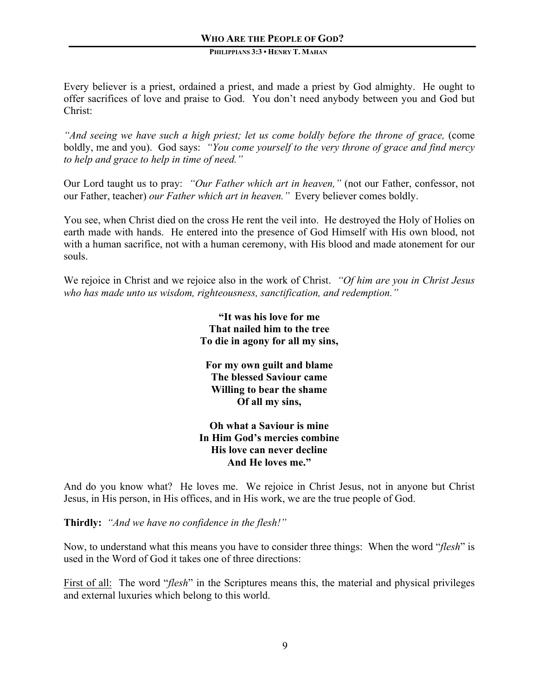Every believer is a priest, ordained a priest, and made a priest by God almighty. He ought to offer sacrifices of love and praise to God. You don't need anybody between you and God but Christ:

*And seeing we have such a high priest; let us come boldly before the throne of grace, (come*) boldly, me and you).God says: *"You come yourself to the very throne of grace and find mercy to help and grace to help in time of need."*

Our Lord taught us to pray: *"Our Father which art in heaven,"* (not our Father, confessor, not our Father, teacher) *our Father which art in heaven."* Every believer comes boldly.

You see, when Christ died on the cross He rent the veil into. He destroyed the Holy of Holies on earth made with hands. He entered into the presence of God Himself with His own blood, not with a human sacrifice, not with a human ceremony, with His blood and made atonement for our souls.

We rejoice in Christ and we rejoice also in the work of Christ. *"Of him are you in Christ Jesus who has made unto us wisdom, righteousness, sanctification, and redemption."* 

> **"It was his love for me That nailed him to the tree To die in agony for all my sins,**

**For my own guilt and blame The blessed Saviour came Willing to bear the shame Of all my sins,**

# **Oh what a Saviour is mine In Him God's mercies combine His love can never decline And He loves me."**

And do you know what? He loves me. We rejoice in Christ Jesus, not in anyone but Christ Jesus, in His person, in His offices, and in His work, we are the true people of God.

**Thirdly:** *"And we have no confidence in the flesh!"*

Now, to understand what this means you have to consider three things: When the word "*flesh*" is used in the Word of God it takes one of three directions:

First of all: The word "*flesh*" in the Scriptures means this, the material and physical privileges and external luxuries which belong to this world.